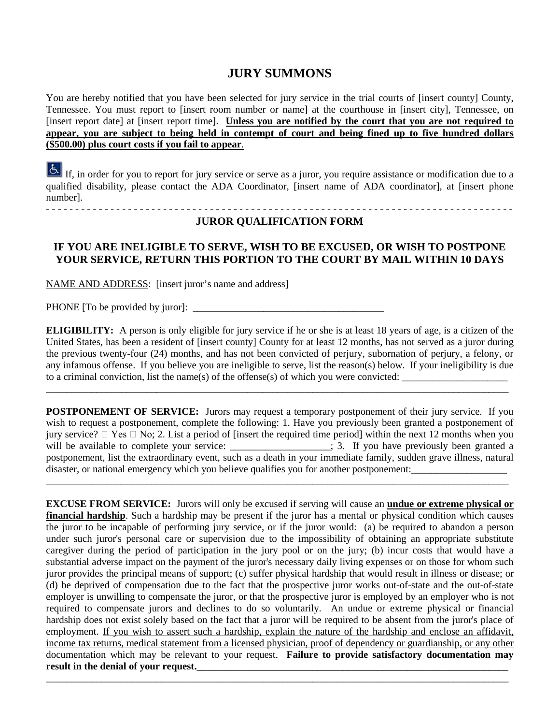## **JURY SUMMONS**

You are hereby notified that you have been selected for jury service in the trial courts of [insert county] County, Tennessee. You must report to [insert room number or name] at the courthouse in [insert city], Tennessee, on [insert report date] at [insert report time]. **Unless you are notified by the court that you are not required to appear, you are subject to being held in contempt of court and being fined up to five hundred dollars (\$500.00) plus court costs if you fail to appear**.

If, in order for you to report for jury service or serve as a juror, you require assistance or modification due to a qualified disability, please contact the ADA Coordinator, [insert name of ADA coordinator], at [insert phone number]. - - - - - - - - - - - - - - - - - - - - - - - - - - - - - - - - - - - - - - - - - - - - - - - - - - - - - - - - - - - - - - - - - - - - - - - - - - - - - - - -

## **JUROR QUALIFICATION FORM**

## **IF YOU ARE INELIGIBLE TO SERVE, WISH TO BE EXCUSED, OR WISH TO POSTPONE YOUR SERVICE, RETURN THIS PORTION TO THE COURT BY MAIL WITHIN 10 DAYS**

NAME AND ADDRESS: [insert juror's name and address]

PHONE [To be provided by juror]:

**ELIGIBILITY:** A person is only eligible for jury service if he or she is at least 18 years of age, is a citizen of the United States, has been a resident of [insert county] County for at least 12 months, has not served as a juror during the previous twenty-four (24) months, and has not been convicted of perjury, subornation of perjury, a felony, or any infamous offense. If you believe you are ineligible to serve, list the reason(s) below. If your ineligibility is due to a criminal conviction, list the name(s) of the offense(s) of which you were convicted:

\_\_\_\_\_\_\_\_\_\_\_\_\_\_\_\_\_\_\_\_\_\_\_\_\_\_\_\_\_\_\_\_\_\_\_\_\_\_\_\_\_\_\_\_\_\_\_\_\_\_\_\_\_\_\_\_\_\_\_\_\_\_\_\_\_\_\_\_\_\_\_\_\_\_\_\_\_\_\_\_\_\_\_\_\_\_\_\_\_\_\_\_

**POSTPONEMENT OF SERVICE:** Jurors may request a temporary postponement of their jury service. If you wish to request a postponement, complete the following: 1. Have you previously been granted a postponement of jury service?  $\Box$  Yes  $\Box$  No; 2. List a period of [insert the required time period] within the next 12 months when you will be available to complete your service: \_\_\_\_\_\_\_\_\_\_\_\_\_\_\_\_\_\_; 3. If you have previously been granted a postponement, list the extraordinary event, such as a death in your immediate family, sudden grave illness, natural disaster, or national emergency which you believe qualifies you for another postponement:

\_\_\_\_\_\_\_\_\_\_\_\_\_\_\_\_\_\_\_\_\_\_\_\_\_\_\_\_\_\_\_\_\_\_\_\_\_\_\_\_\_\_\_\_\_\_\_\_\_\_\_\_\_\_\_\_\_\_\_\_\_\_\_\_\_\_\_\_\_\_\_\_\_\_\_\_\_\_\_\_\_\_\_\_\_\_\_\_\_\_\_\_

**EXCUSE FROM SERVICE:** Jurors will only be excused if serving will cause an **undue or extreme physical or financial hardship**. Such a hardship may be present if the juror has a mental or physical condition which causes the juror to be incapable of performing jury service, or if the juror would: (a) be required to abandon a person under such juror's personal care or supervision due to the impossibility of obtaining an appropriate substitute caregiver during the period of participation in the jury pool or on the jury; (b) incur costs that would have a substantial adverse impact on the payment of the juror's necessary daily living expenses or on those for whom such juror provides the principal means of support; (c) suffer physical hardship that would result in illness or disease; or (d) be deprived of compensation due to the fact that the prospective juror works out-of-state and the out-of-state employer is unwilling to compensate the juror, or that the prospective juror is employed by an employer who is not required to compensate jurors and declines to do so voluntarily. An undue or extreme physical or financial hardship does not exist solely based on the fact that a juror will be required to be absent from the juror's place of employment. If you wish to assert such a hardship, explain the nature of the hardship and enclose an affidavit, income tax returns, medical statement from a licensed physician, proof of dependency or guardianship, or any other documentation which may be relevant to your request. **Failure to provide satisfactory documentation may**  result in the denial of your request.

\_\_\_\_\_\_\_\_\_\_\_\_\_\_\_\_\_\_\_\_\_\_\_\_\_\_\_\_\_\_\_\_\_\_\_\_\_\_\_\_\_\_\_\_\_\_\_\_\_\_\_\_\_\_\_\_\_\_\_\_\_\_\_\_\_\_\_\_\_\_\_\_\_\_\_\_\_\_\_\_\_\_\_\_\_\_\_\_\_\_\_\_